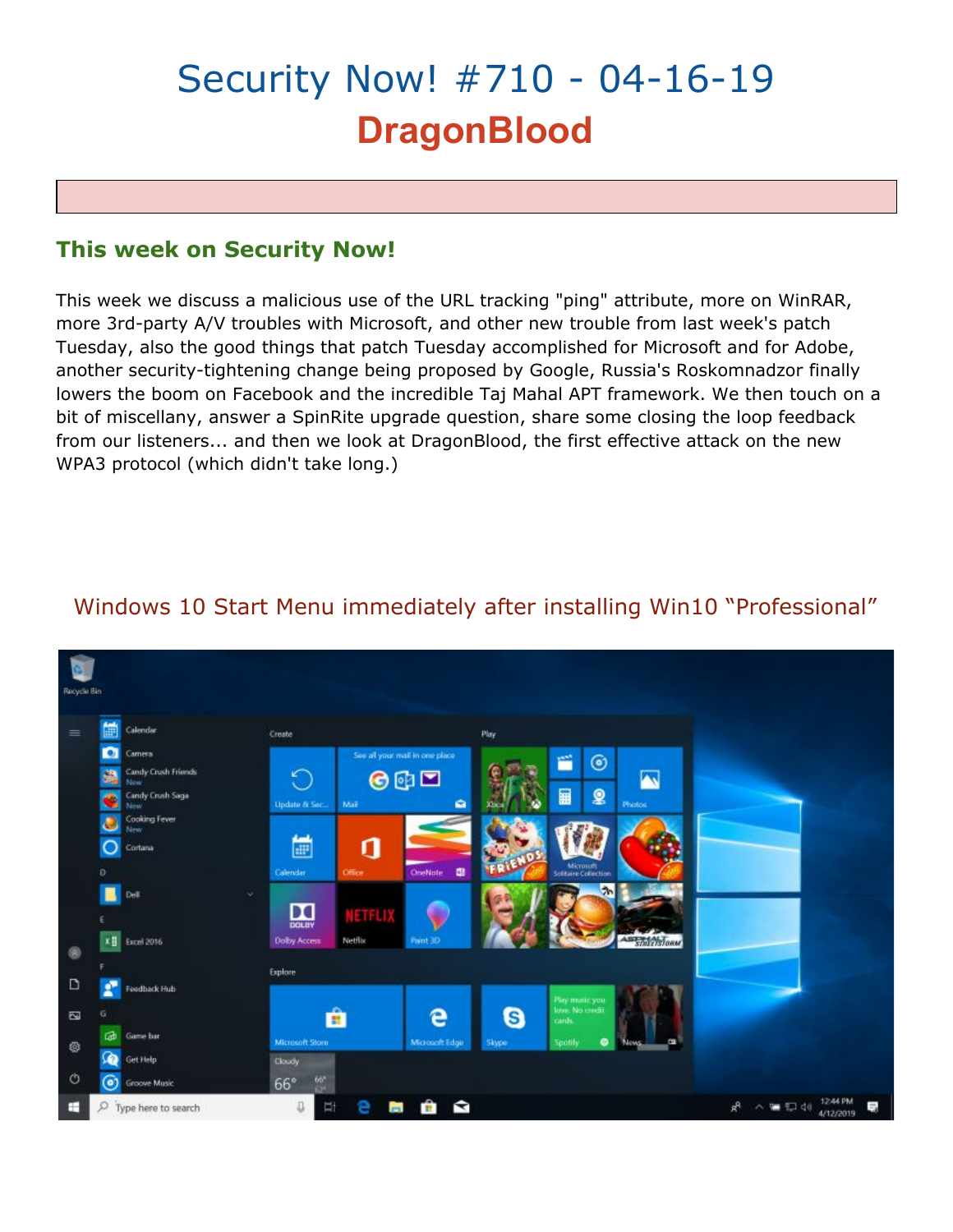# Security Now! #710 - 04-16-19 **DragonBlood**

## **This week on Security Now!**

This week we discuss a malicious use of the URL tracking "ping" attribute, more on WinRAR, more 3rd-party A/V troubles with Microsoft, and other new trouble from last week's patch Tuesday, also the good things that patch Tuesday accomplished for Microsoft and for Adobe, another security-tightening change being proposed by Google, Russia's Roskomnadzor finally lowers the boom on Facebook and the incredible Taj Mahal APT framework. We then touch on a bit of miscellany, answer a SpinRite upgrade question, share some closing the loop feedback from our listeners... and then we look at DragonBlood, the first effective attack on the new WPA3 protocol (which didn't take long.)

#### **Service Rin** Calenda Create Play See all your mail in one place Camera ñ ම andy Crush Friends G N  $001$ 畐 Q dy Crush Sag **Update & Se** E ก  $\cap$ Cortana **Calendar** .<br>Mata  $\sum_{\text{DCLBV}}$ NETFLI Excel 2016 **Dolby Acces** Netflix Explore D Feedback Hub e G  $\overline{\omega}$ Ĥ Gib Game bar Microsoft Stor ۰ Get Help Cloudy Ó **Groove Music**  $66^\circ$  $R^2 \sim 1244$  PM<br>4/12/2019 中音画自白  $O$  Type here to search  $\mathbb Q$

## Windows 10 Start Menu immediately after installing Win10 "Professional"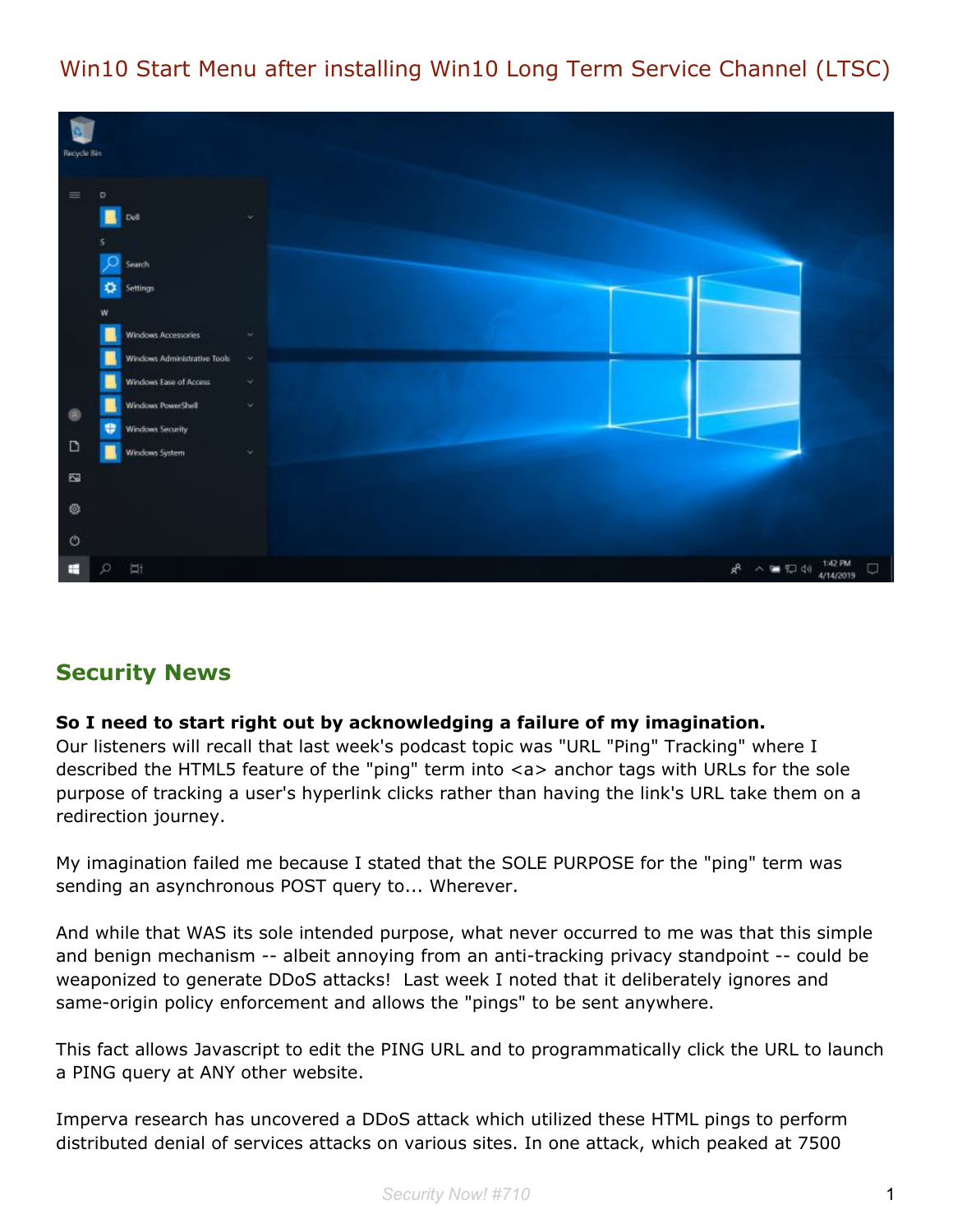## Win10 Start Menu after installing Win10 Long Term Service Channel (LTSC)



## **Security News**

#### **So I need to start right out by acknowledging a failure of my imagination.**

Our listeners will recall that last week's podcast topic was "URL "Ping" Tracking" where I described the HTML5 feature of the "ping" term into <a> anchor tags with URLs for the sole purpose of tracking a user's hyperlink clicks rather than having the link's URL take them on a redirection journey.

My imagination failed me because I stated that the SOLE PURPOSE for the "ping" term was sending an asynchronous POST query to... Wherever.

And while that WAS its sole intended purpose, what never occurred to me was that this simple and benign mechanism -- albeit annoying from an anti-tracking privacy standpoint -- could be weaponized to generate DDoS attacks! Last week I noted that it deliberately ignores and same-origin policy enforcement and allows the "pings" to be sent anywhere.

This fact allows Javascript to edit the PING URL and to programmatically click the URL to launch a PING query at ANY other website.

Imperva research has uncovered a DDoS attack which utilized these HTML pings to perform distributed denial of services attacks on various sites. In one attack, which peaked at 7500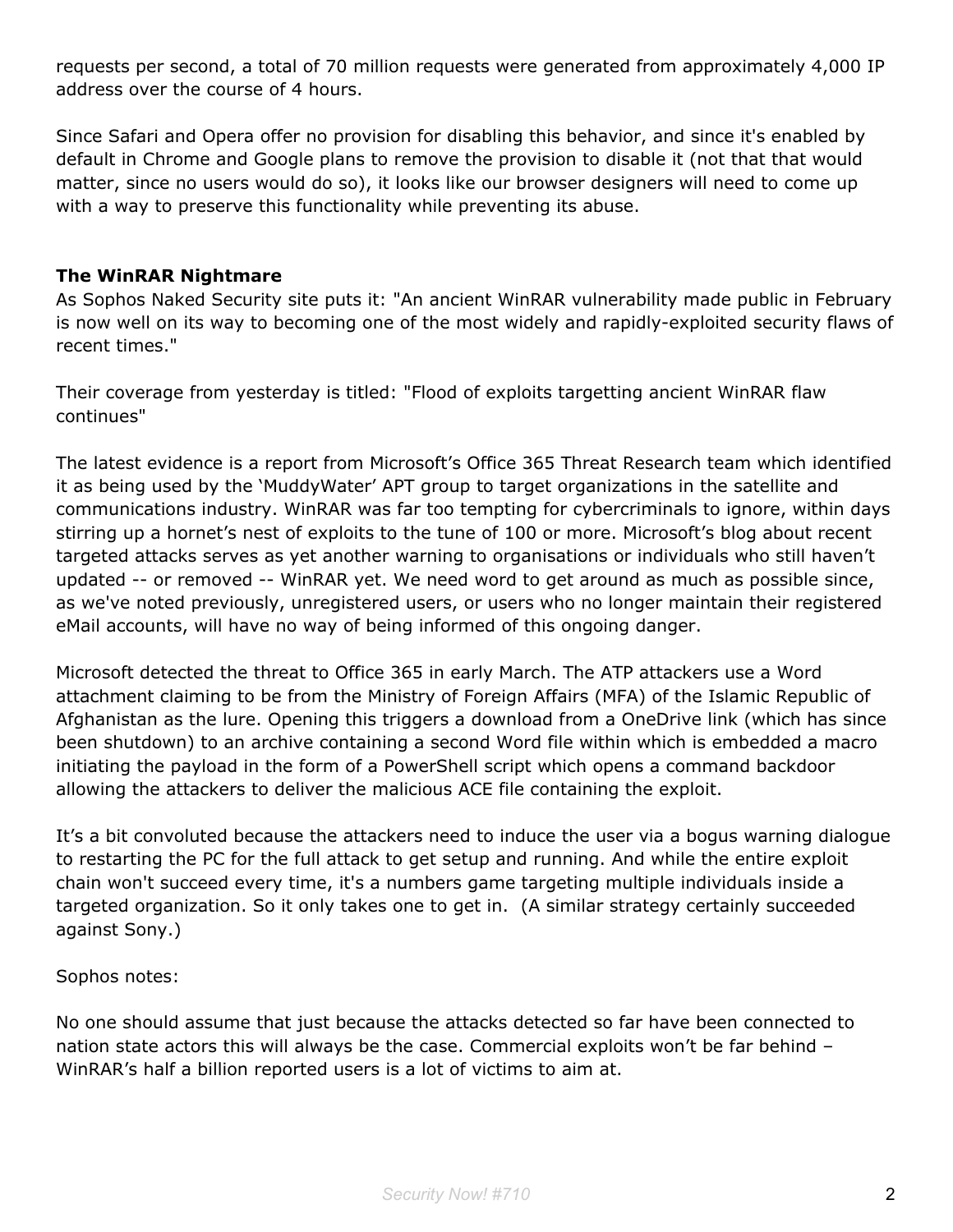requests per second, a total of 70 million requests were generated from approximately 4,000 IP address over the course of 4 hours.

Since Safari and Opera offer no provision for disabling this behavior, and since it's enabled by default in Chrome and Google plans to remove the provision to disable it (not that that would matter, since no users would do so), it looks like our browser designers will need to come up with a way to preserve this functionality while preventing its abuse.

## **The WinRAR Nightmare**

As Sophos Naked Security site puts it: "An ancient WinRAR vulnerability made public in February is now well on its way to becoming one of the most widely and rapidly-exploited security flaws of recent times."

Their coverage from yesterday is titled: "Flood of exploits targetting ancient WinRAR flaw continues"

The latest evidence is a report from Microsoft's Office 365 Threat Research team which identified it as being used by the 'MuddyWater' APT group to target organizations in the satellite and communications industry. WinRAR was far too tempting for cybercriminals to ignore, within days stirring up a hornet's nest of exploits to the tune of 100 or more. Microsoft's blog about recent targeted attacks serves as yet another warning to organisations or individuals who still haven't updated -- or removed -- WinRAR yet. We need word to get around as much as possible since, as we've noted previously, unregistered users, or users who no longer maintain their registered eMail accounts, will have no way of being informed of this ongoing danger.

Microsoft detected the threat to Office 365 in early March. The ATP attackers use a Word attachment claiming to be from the Ministry of Foreign Affairs (MFA) of the Islamic Republic of Afghanistan as the lure. Opening this triggers a download from a OneDrive link (which has since been shutdown) to an archive containing a second Word file within which is embedded a macro initiating the payload in the form of a PowerShell script which opens a command backdoor allowing the attackers to deliver the malicious ACE file containing the exploit.

It's a bit convoluted because the attackers need to induce the user via a bogus warning dialogue to restarting the PC for the full attack to get setup and running. And while the entire exploit chain won't succeed every time, it's a numbers game targeting multiple individuals inside a targeted organization. So it only takes one to get in. (A similar strategy certainly succeeded against Sony.)

Sophos notes:

No one should assume that just because the attacks detected so far have been connected to nation state actors this will always be the case. Commercial exploits won't be far behind – WinRAR's half a billion reported users is a lot of victims to aim at.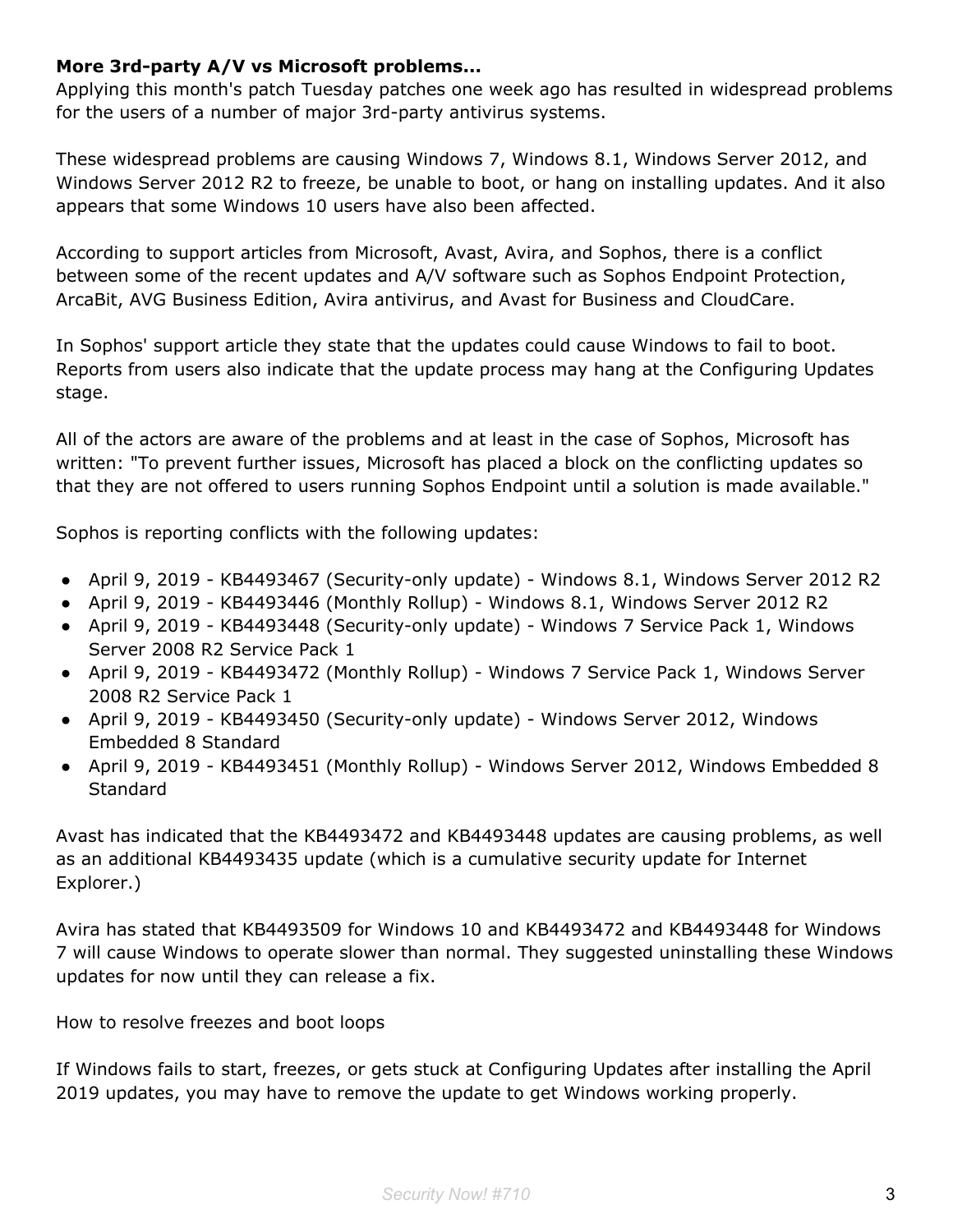## **More 3rd-party A/V vs Microsoft problems...**

Applying this month's patch Tuesday patches one week ago has resulted in widespread problems for the users of a number of major 3rd-party antivirus systems.

These widespread problems are causing Windows 7, Windows 8.1, Windows Server 2012, and Windows Server 2012 R2 to freeze, be unable to boot, or hang on installing updates. And it also appears that some Windows 10 users have also been affected.

According to support articles from Microsoft, Avast, Avira, and Sophos, there is a conflict between some of the recent updates and A/V software such as Sophos Endpoint Protection, ArcaBit, AVG Business Edition, Avira antivirus, and Avast for Business and CloudCare.

In Sophos' support article they state that the updates could cause Windows to fail to boot. Reports from users also indicate that the update process may hang at the Configuring Updates stage.

All of the actors are aware of the problems and at least in the case of Sophos, Microsoft has written: "To prevent further issues, Microsoft has placed a block on the conflicting updates so that they are not offered to users running Sophos Endpoint until a solution is made available."

Sophos is reporting conflicts with the following updates:

- April 9, 2019 KB4493467 (Security-only update) Windows 8.1, Windows Server 2012 R2
- April 9, 2019 KB4493446 (Monthly Rollup) Windows 8.1, Windows Server 2012 R2
- April 9, 2019 KB4493448 (Security-only update) Windows 7 Service Pack 1, Windows Server 2008 R2 Service Pack 1
- April 9, 2019 KB4493472 (Monthly Rollup) Windows 7 Service Pack 1, Windows Server 2008 R2 Service Pack 1
- April 9, 2019 KB4493450 (Security-only update) Windows Server 2012, Windows Embedded 8 Standard
- April 9, 2019 KB4493451 (Monthly Rollup) Windows Server 2012, Windows Embedded 8 **Standard**

Avast has indicated that the KB4493472 and KB4493448 updates are causing problems, as well as an additional KB4493435 update (which is a cumulative security update for Internet Explorer.)

Avira has stated that KB4493509 for Windows 10 and KB4493472 and KB4493448 for Windows 7 will cause Windows to operate slower than normal. They suggested uninstalling these Windows updates for now until they can release a fix.

How to resolve freezes and boot loops

If Windows fails to start, freezes, or gets stuck at Configuring Updates after installing the April 2019 updates, you may have to remove the update to get Windows working properly.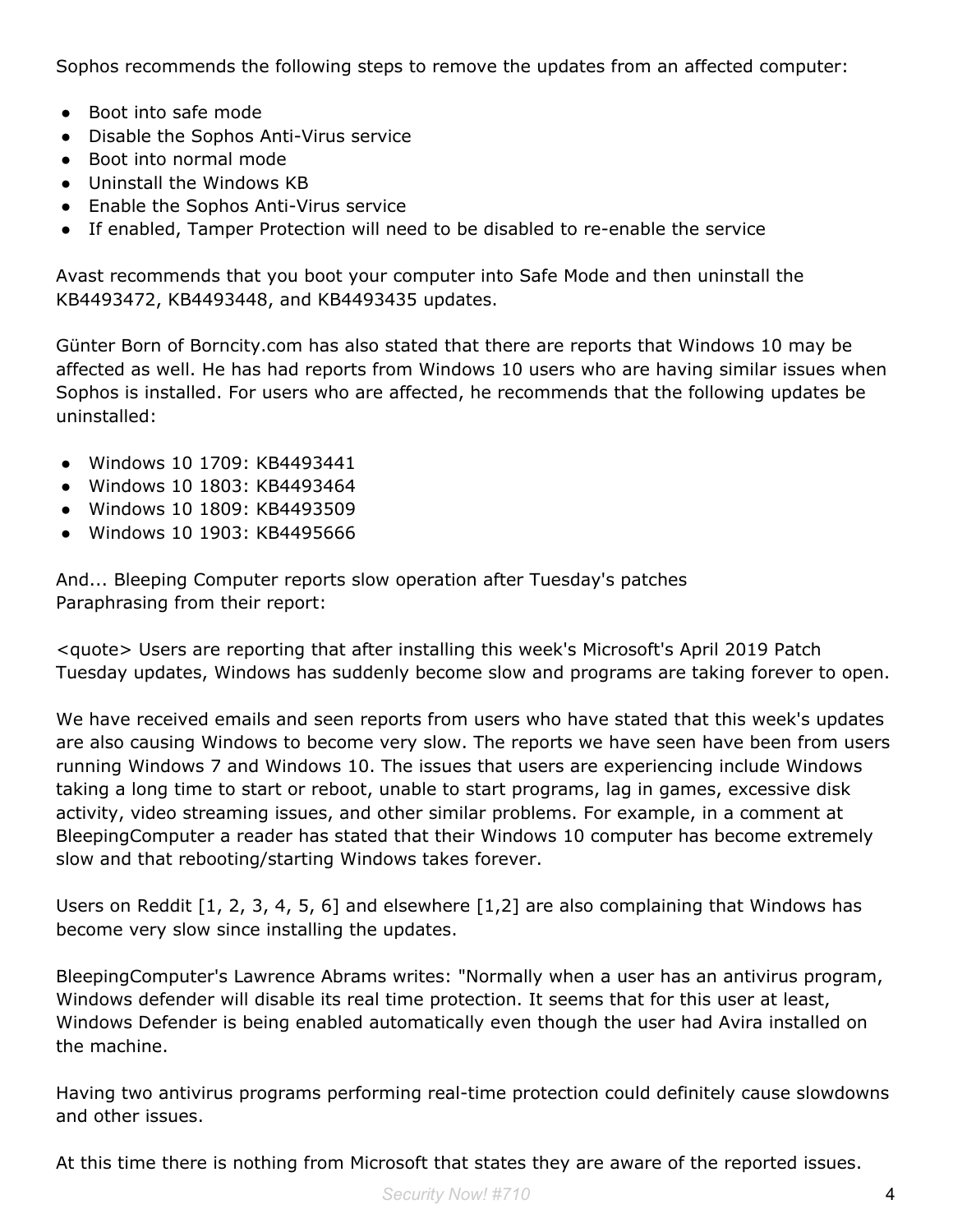Sophos recommends the following steps to remove the updates from an affected computer:

- Boot into safe mode
- Disable the Sophos Anti-Virus service
- Boot into normal mode
- Uninstall the Windows KB
- Enable the Sophos Anti-Virus service
- If enabled, Tamper Protection will need to be disabled to re-enable the service

Avast recommends that you boot your computer into Safe Mode and then uninstall the KB4493472, KB4493448, and KB4493435 updates.

Günter Born of Borncity.com has also stated that there are reports that Windows 10 may be affected as well. He has had reports from Windows 10 users who are having similar issues when Sophos is installed. For users who are affected, he recommends that the following updates be uninstalled:

- Windows 10 1709: KB4493441
- Windows 10 1803: KB4493464
- Windows 10 1809: KB4493509
- Windows 10 1903: KB4495666

And... Bleeping Computer reports slow operation after Tuesday's patches Paraphrasing from their report:

<quote> Users are reporting that after installing this week's Microsoft's April 2019 Patch Tuesday updates, Windows has suddenly become slow and programs are taking forever to open.

We have received emails and seen reports from users who have stated that this week's updates are also causing Windows to become very slow. The reports we have seen have been from users running Windows 7 and Windows 10. The issues that users are experiencing include Windows taking a long time to start or reboot, unable to start programs, lag in games, excessive disk activity, video streaming issues, and other similar problems. For example, in a comment at BleepingComputer a reader has stated that their Windows 10 computer has become extremely slow and that rebooting/starting Windows takes forever.

Users on Reddit [1, 2, 3, 4, 5, 6] and elsewhere [1,2] are also complaining that Windows has become very slow since installing the updates.

BleepingComputer's Lawrence Abrams writes: "Normally when a user has an antivirus program, Windows defender will disable its real time protection. It seems that for this user at least, Windows Defender is being enabled automatically even though the user had Avira installed on the machine.

Having two antivirus programs performing real-time protection could definitely cause slowdowns and other issues.

At this time there is nothing from Microsoft that states they are aware of the reported issues.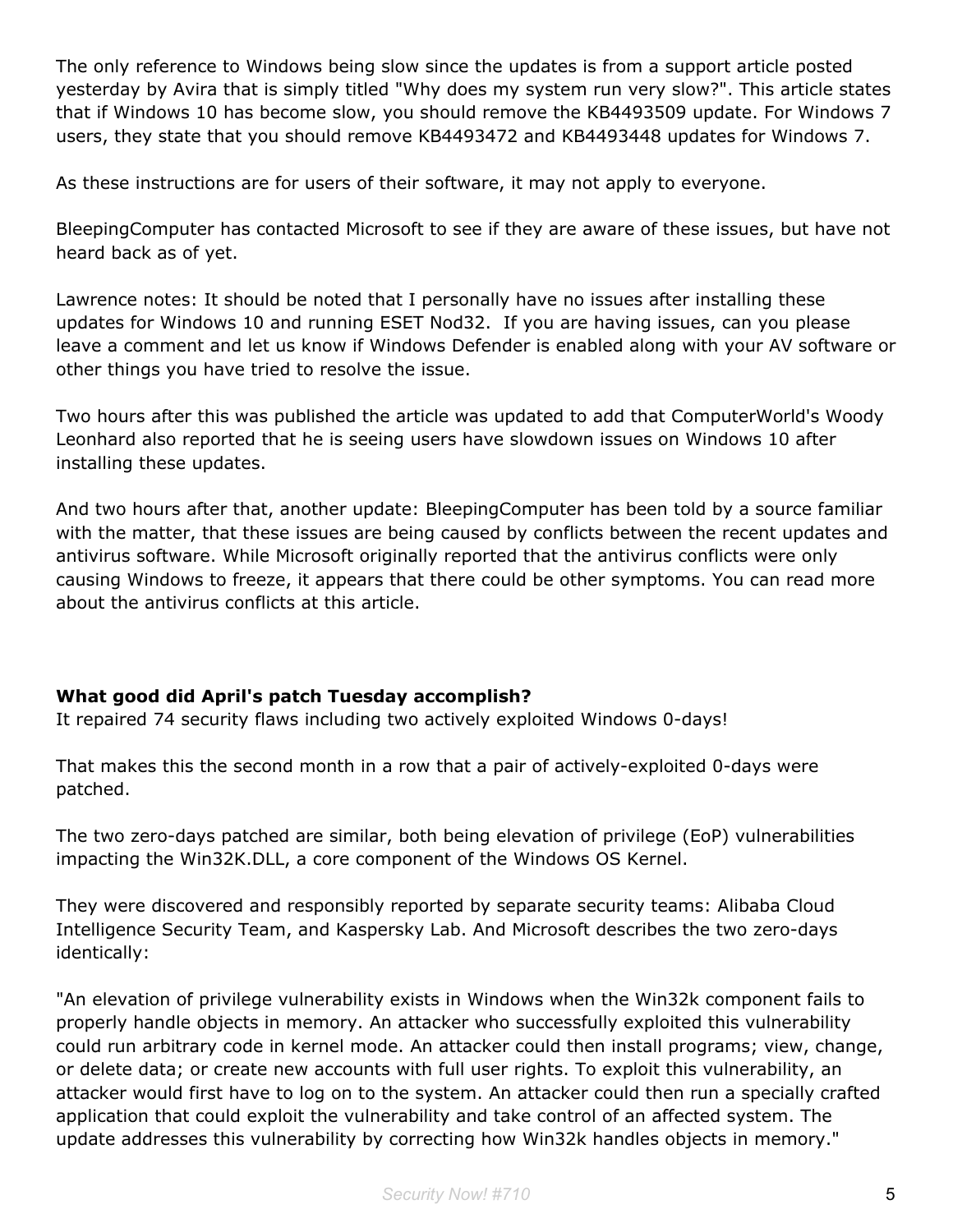The only reference to Windows being slow since the updates is from a support article posted yesterday by Avira that is simply titled "Why does my system run very slow?". This article states that if Windows 10 has become slow, you should remove the KB4493509 update. For Windows 7 users, they state that you should remove KB4493472 and KB4493448 updates for Windows 7.

As these instructions are for users of their software, it may not apply to everyone.

BleepingComputer has contacted Microsoft to see if they are aware of these issues, but have not heard back as of yet.

Lawrence notes: It should be noted that I personally have no issues after installing these updates for Windows 10 and running ESET Nod32. If you are having issues, can you please leave a comment and let us know if Windows Defender is enabled along with your AV software or other things you have tried to resolve the issue.

Two hours after this was published the article was updated to add that ComputerWorld's Woody Leonhard also reported that he is seeing users have slowdown issues on Windows 10 after installing these updates.

And two hours after that, another update: BleepingComputer has been told by a source familiar with the matter, that these issues are being caused by conflicts between the recent updates and antivirus software. While Microsoft originally reported that the antivirus conflicts were only causing Windows to freeze, it appears that there could be other symptoms. You can read more about the antivirus conflicts at this article.

## **What good did April's patch Tuesday accomplish?**

It repaired 74 security flaws including two actively exploited Windows 0-days!

That makes this the second month in a row that a pair of actively-exploited 0-days were patched.

The two zero-days patched are similar, both being elevation of privilege (EoP) vulnerabilities impacting the Win32K.DLL, a core component of the Windows OS Kernel.

They were discovered and responsibly reported by separate security teams: Alibaba Cloud Intelligence Security Team, and Kaspersky Lab. And Microsoft describes the two zero-days identically:

"An elevation of privilege vulnerability exists in Windows when the Win32k component fails to properly handle objects in memory. An attacker who successfully exploited this vulnerability could run arbitrary code in kernel mode. An attacker could then install programs; view, change, or delete data; or create new accounts with full user rights. To exploit this vulnerability, an attacker would first have to log on to the system. An attacker could then run a specially crafted application that could exploit the vulnerability and take control of an affected system. The update addresses this vulnerability by correcting how Win32k handles objects in memory."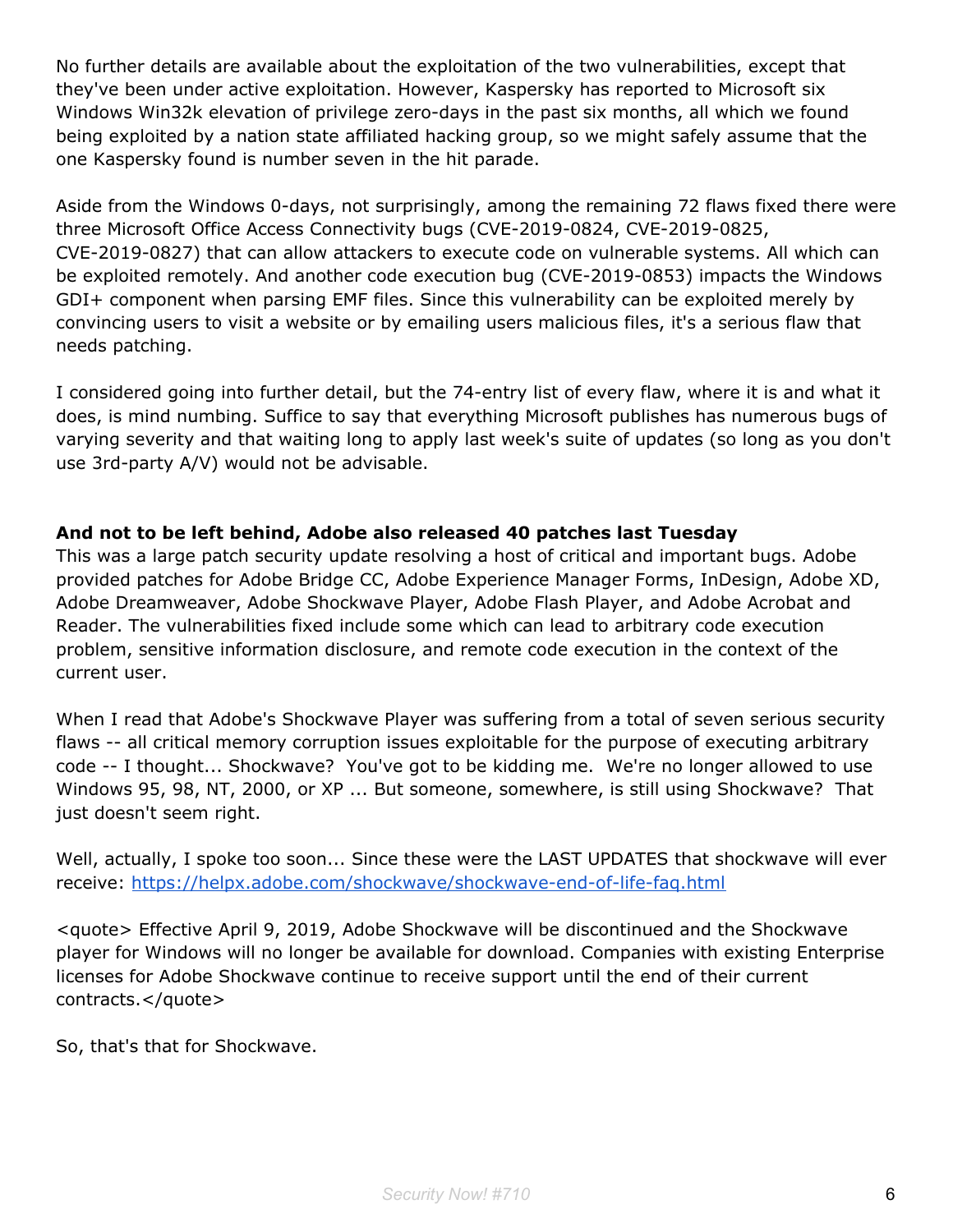No further details are available about the exploitation of the two vulnerabilities, except that they've been under active exploitation. However, Kaspersky has reported to Microsoft six Windows Win32k elevation of privilege zero-days in the past six months, all which we found being exploited by a nation state affiliated hacking group, so we might safely assume that the one Kaspersky found is number seven in the hit parade.

Aside from the Windows 0-days, not surprisingly, among the remaining 72 flaws fixed there were three Microsoft Office Access Connectivity bugs (CVE-2019-0824, CVE-2019-0825, CVE-2019-0827) that can allow attackers to execute code on vulnerable systems. All which can be exploited remotely. And another code execution bug (CVE-2019-0853) impacts the Windows GDI+ component when parsing EMF files. Since this vulnerability can be exploited merely by convincing users to visit a website or by emailing users malicious files, it's a serious flaw that needs patching.

I considered going into further detail, but the 74-entry list of every flaw, where it is and what it does, is mind numbing. Suffice to say that everything Microsoft publishes has numerous bugs of varying severity and that waiting long to apply last week's suite of updates (so long as you don't use 3rd-party A/V) would not be advisable.

## **And not to be left behind, Adobe also released 40 patches last Tuesday**

This was a large patch security update resolving a host of critical and important bugs. Adobe provided patches for Adobe Bridge CC, Adobe Experience Manager Forms, InDesign, Adobe XD, Adobe Dreamweaver, Adobe Shockwave Player, Adobe Flash Player, and Adobe Acrobat and Reader. The vulnerabilities fixed include some which can lead to arbitrary code execution problem, sensitive information disclosure, and remote code execution in the context of the current user.

When I read that Adobe's Shockwave Player was suffering from a total of seven serious security flaws -- all critical memory corruption issues exploitable for the purpose of executing arbitrary code -- I thought... Shockwave? You've got to be kidding me. We're no longer allowed to use Windows 95, 98, NT, 2000, or XP ... But someone, somewhere, is still using Shockwave? That just doesn't seem right.

Well, actually, I spoke too soon... Since these were the LAST UPDATES that shockwave will ever receive: <https://helpx.adobe.com/shockwave/shockwave-end-of-life-faq.html>

<quote> Effective April 9, 2019, Adobe Shockwave will be discontinued and the Shockwave player for Windows will no longer be available for download. Companies with existing Enterprise licenses for Adobe Shockwave continue to receive support until the end of their current contracts.</quote>

So, that's that for Shockwave.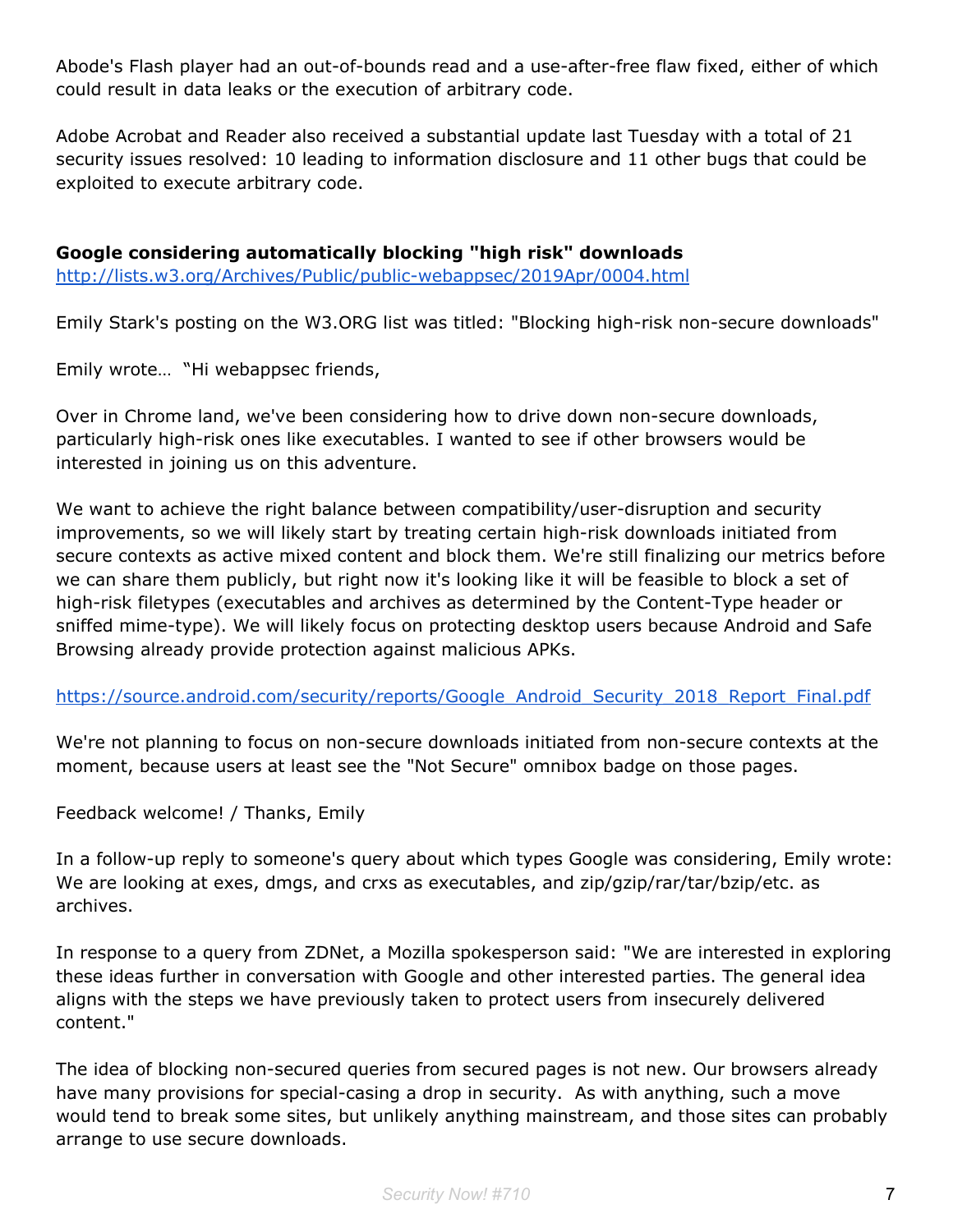Abode's Flash player had an out-of-bounds read and a use-after-free flaw fixed, either of which could result in data leaks or the execution of arbitrary code.

Adobe Acrobat and Reader also received a substantial update last Tuesday with a total of 21 security issues resolved: 10 leading to information disclosure and 11 other bugs that could be exploited to execute arbitrary code.

**Google considering automatically blocking "high risk" downloads** <http://lists.w3.org/Archives/Public/public-webappsec/2019Apr/0004.html>

Emily Stark's posting on the W3.ORG list was titled: "Blocking high-risk non-secure downloads"

Emily wrote… "Hi webappsec friends,

Over in Chrome land, we've been considering how to drive down non-secure downloads, particularly high-risk ones like executables. I wanted to see if other browsers would be interested in joining us on this adventure.

We want to achieve the right balance between compatibility/user-disruption and security improvements, so we will likely start by treating certain high-risk downloads initiated from secure contexts as active mixed content and block them. We're still finalizing our metrics before we can share them publicly, but right now it's looking like it will be feasible to block a set of high-risk filetypes (executables and archives as determined by the Content-Type header or sniffed mime-type). We will likely focus on protecting desktop users because Android and Safe Browsing already provide protection against malicious APKs.

[https://source.android.com/security/reports/Google\\_Android\\_Security\\_2018\\_Report\\_Final.pdf](https://source.android.com/security/reports/Google_Android_Security_2018_Report_Final.pdf)

We're not planning to focus on non-secure downloads initiated from non-secure contexts at the moment, because users at least see the "Not Secure" omnibox badge on those pages.

Feedback welcome! / Thanks, Emily

In a follow-up reply to someone's query about which types Google was considering, Emily wrote: We are looking at exes, dmgs, and crxs as executables, and zip/gzip/rar/tar/bzip/etc. as archives.

In response to a query from ZDNet, a Mozilla spokesperson said: "We are interested in exploring these ideas further in conversation with Google and other interested parties. The general idea aligns with the steps we have previously taken to protect users from insecurely delivered content."

The idea of blocking non-secured queries from secured pages is not new. Our browsers already have many provisions for special-casing a drop in security. As with anything, such a move would tend to break some sites, but unlikely anything mainstream, and those sites can probably arrange to use secure downloads.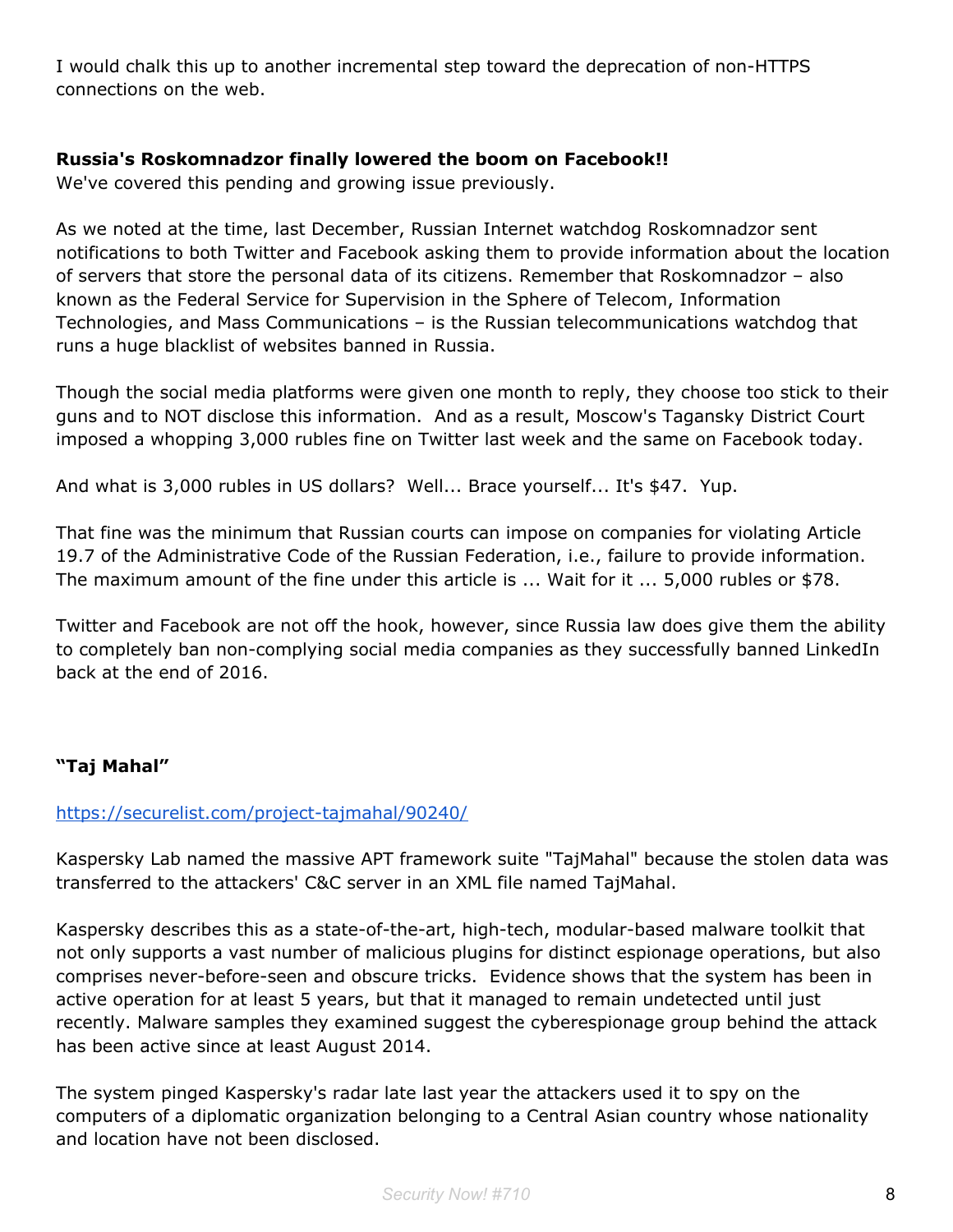I would chalk this up to another incremental step toward the deprecation of non-HTTPS connections on the web.

#### **Russia's Roskomnadzor finally lowered the boom on Facebook!!**

We've covered this pending and growing issue previously.

As we noted at the time, last December, Russian Internet watchdog Roskomnadzor sent notifications to both Twitter and Facebook asking them to provide information about the location of servers that store the personal data of its citizens. Remember that Roskomnadzor – also known as the Federal Service for Supervision in the Sphere of Telecom, Information Technologies, and Mass Communications – is the Russian telecommunications watchdog that runs a huge blacklist of websites banned in Russia.

Though the social media platforms were given one month to reply, they choose too stick to their guns and to NOT disclose this information. And as a result, Moscow's Tagansky District Court imposed a whopping 3,000 rubles fine on Twitter last week and the same on Facebook today.

And what is 3,000 rubles in US dollars? Well... Brace yourself... It's \$47. Yup.

That fine was the minimum that Russian courts can impose on companies for violating Article 19.7 of the Administrative Code of the Russian Federation, i.e., failure to provide information. The maximum amount of the fine under this article is ... Wait for it ... 5,000 rubles or \$78.

Twitter and Facebook are not off the hook, however, since Russia law does give them the ability to completely ban non-complying social media companies as they successfully banned LinkedIn back at the end of 2016.

## **"Taj Mahal"**

## <https://securelist.com/project-tajmahal/90240/>

Kaspersky Lab named the massive APT framework suite "TajMahal" because the stolen data was transferred to the attackers' C&C server in an XML file named TajMahal.

Kaspersky describes this as a state-of-the-art, high-tech, modular-based malware toolkit that not only supports a vast number of malicious plugins for distinct espionage operations, but also comprises never-before-seen and obscure tricks. Evidence shows that the system has been in active operation for at least 5 years, but that it managed to remain undetected until just recently. Malware samples they examined suggest the cyberespionage group behind the attack has been active since at least August 2014.

The system pinged Kaspersky's radar late last year the attackers used it to spy on the computers of a diplomatic organization belonging to a Central Asian country whose nationality and location have not been disclosed.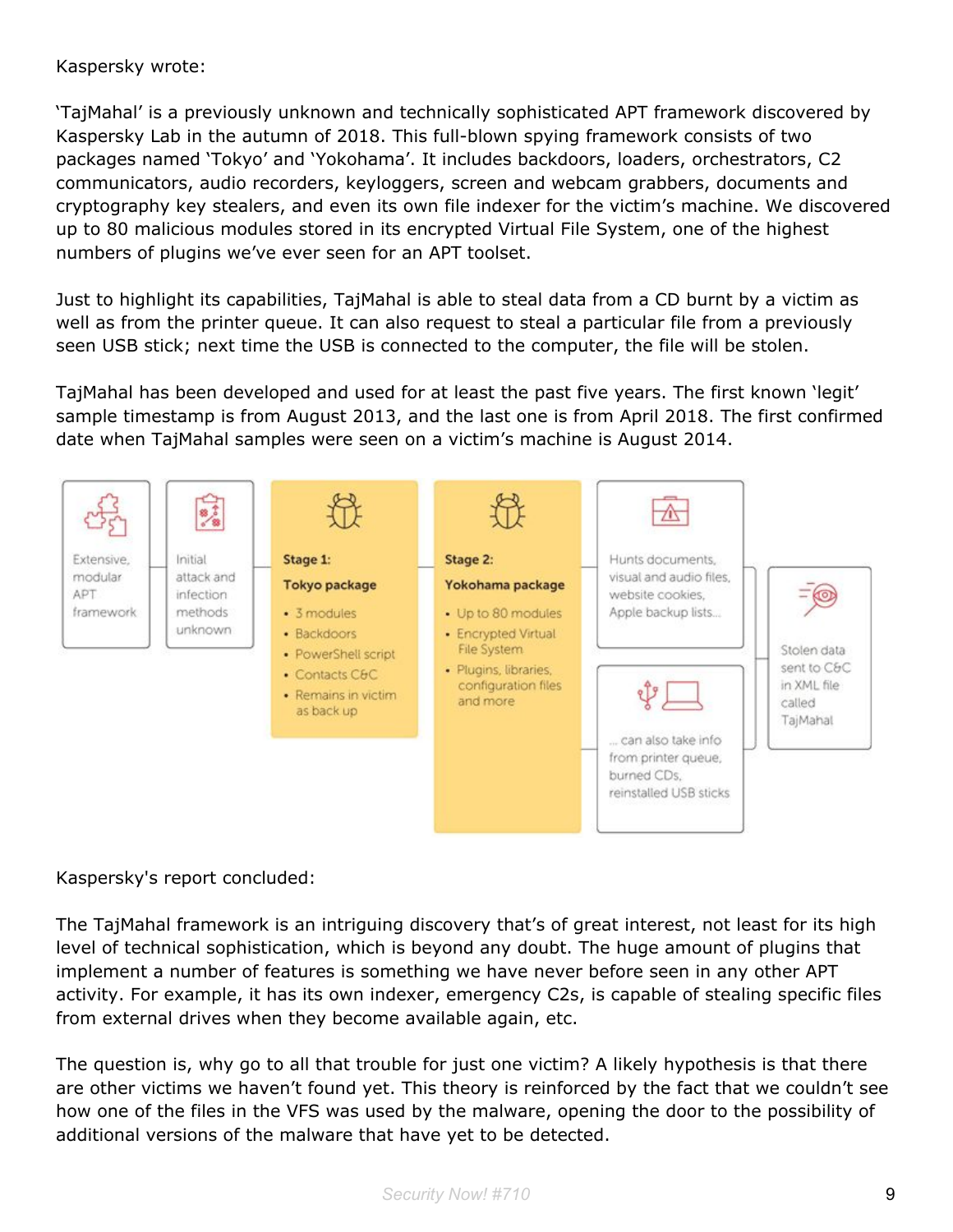#### Kaspersky wrote:

'TajMahal' is a previously unknown and technically sophisticated APT framework discovered by Kaspersky Lab in the autumn of 2018. This full-blown spying framework consists of two packages named 'Tokyo' and 'Yokohama'. It includes backdoors, loaders, orchestrators, C2 communicators, audio recorders, keyloggers, screen and webcam grabbers, documents and cryptography key stealers, and even its own file indexer for the victim's machine. We discovered up to 80 malicious modules stored in its encrypted Virtual File System, one of the highest numbers of plugins we've ever seen for an APT toolset.

Just to highlight its capabilities, TajMahal is able to steal data from a CD burnt by a victim as well as from the printer queue. It can also request to steal a particular file from a previously seen USB stick; next time the USB is connected to the computer, the file will be stolen.

TajMahal has been developed and used for at least the past five years. The first known 'legit' sample timestamp is from August 2013, and the last one is from April 2018. The first confirmed date when TajMahal samples were seen on a victim's machine is August 2014.



Kaspersky's report concluded:

The TajMahal framework is an intriguing discovery that's of great interest, not least for its high level of technical sophistication, which is beyond any doubt. The huge amount of plugins that implement a number of features is something we have never before seen in any other APT activity. For example, it has its own indexer, emergency C2s, is capable of stealing specific files from external drives when they become available again, etc.

The question is, why go to all that trouble for just one victim? A likely hypothesis is that there are other victims we haven't found yet. This theory is reinforced by the fact that we couldn't see how one of the files in the VFS was used by the malware, opening the door to the possibility of additional versions of the malware that have yet to be detected.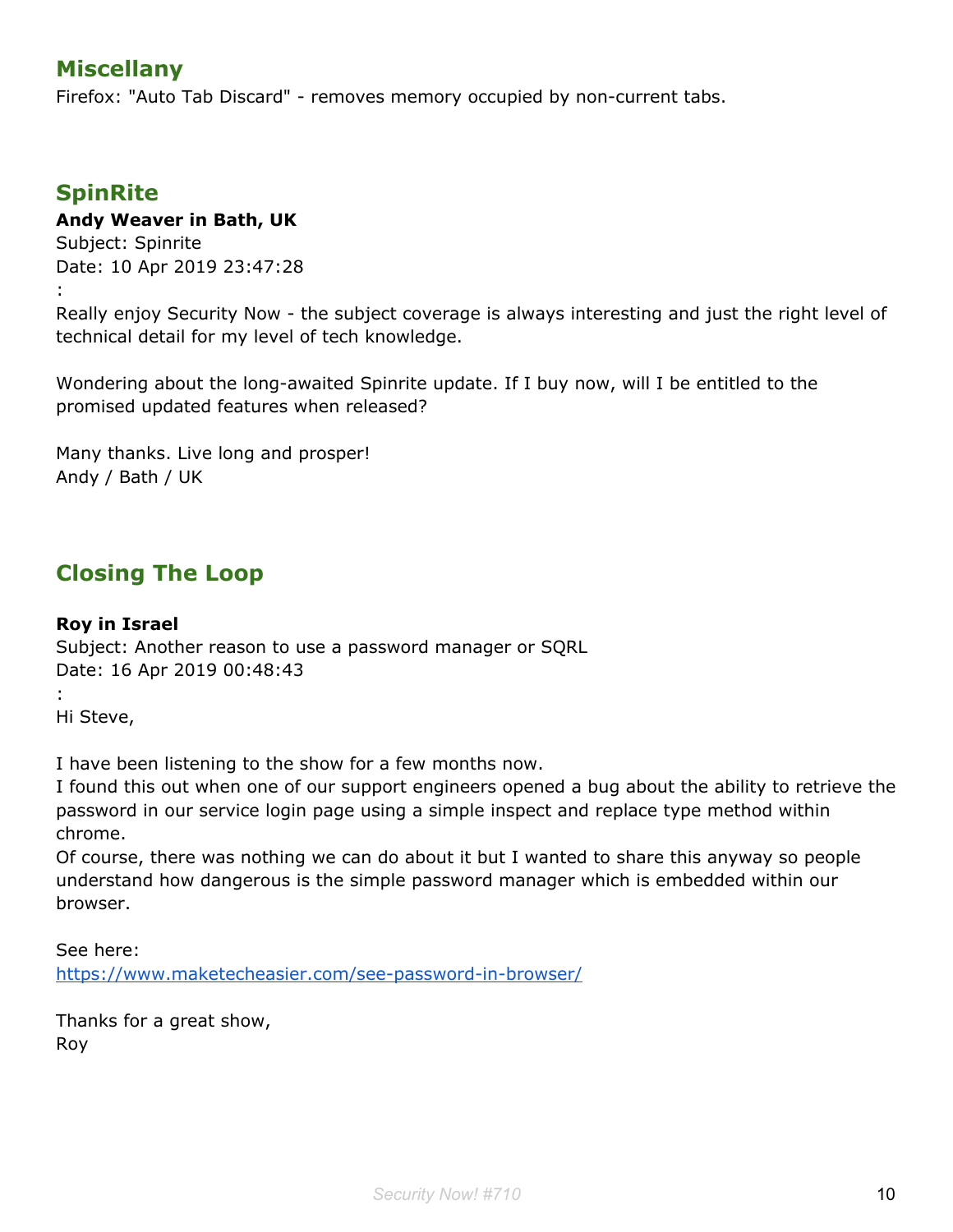## **Miscellany**

Firefox: "Auto Tab Discard" - removes memory occupied by non-current tabs.

## **SpinRite**

## **Andy Weaver in Bath, UK**

Subject: Spinrite Date: 10 Apr 2019 23:47:28 :

Really enjoy Security Now - the subject coverage is always interesting and just the right level of technical detail for my level of tech knowledge.

Wondering about the long-awaited Spinrite update. If I buy now, will I be entitled to the promised updated features when released?

Many thanks. Live long and prosper! Andy / Bath / UK

## **Closing The Loop**

#### **Roy in Israel**

Subject: Another reason to use a password manager or SQRL Date: 16 Apr 2019 00:48:43 :

Hi Steve,

I have been listening to the show for a few months now.

I found this out when one of our support engineers opened a bug about the ability to retrieve the password in our service login page using a simple inspect and replace type method within chrome.

Of course, there was nothing we can do about it but I wanted to share this anyway so people understand how dangerous is the simple password manager which is embedded within our browser.

See here: <https://www.maketecheasier.com/see-password-in-browser/>

Thanks for a great show, Roy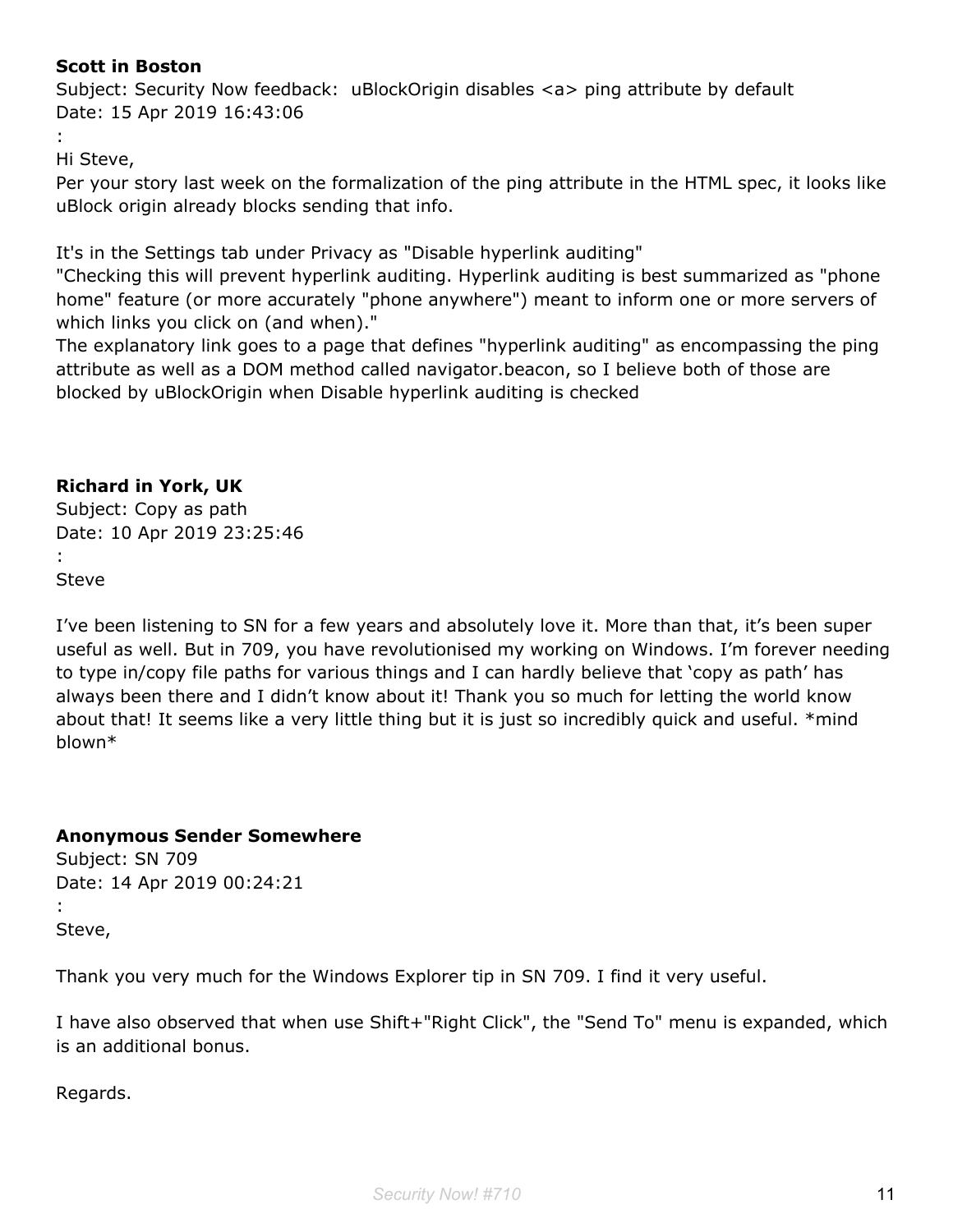## **Scott in Boston**

Subject: Security Now feedback: uBlockOrigin disables <a> ping attribute by default Date: 15 Apr 2019 16:43:06

:

Hi Steve,

Per your story last week on the formalization of the ping attribute in the HTML spec, it looks like uBlock origin already blocks sending that info.

It's in the Settings tab under Privacy as "Disable hyperlink auditing"

"Checking this will prevent hyperlink auditing. Hyperlink auditing is best summarized as "phone home" feature (or more accurately "phone anywhere") meant to inform one or more servers of which links you click on (and when)."

The explanatory link goes to a page that defines "hyperlink auditing" as encompassing the ping attribute as well as a DOM method called navigator.beacon, so I believe both of those are blocked by uBlockOrigin when Disable hyperlink auditing is checked

## **Richard in York, UK**

Subject: Copy as path Date: 10 Apr 2019 23:25:46 : Steve

I've been listening to SN for a few years and absolutely love it. More than that, it's been super useful as well. But in 709, you have revolutionised my working on Windows. I'm forever needing to type in/copy file paths for various things and I can hardly believe that 'copy as path' has always been there and I didn't know about it! Thank you so much for letting the world know about that! It seems like a very little thing but it is just so incredibly quick and useful. \*mind blown\*

## **Anonymous Sender Somewhere**

Subject: SN 709 Date: 14 Apr 2019 00:24:21 : Steve,

Thank you very much for the Windows Explorer tip in SN 709. I find it very useful.

I have also observed that when use Shift+"Right Click", the "Send To" menu is expanded, which is an additional bonus.

Regards.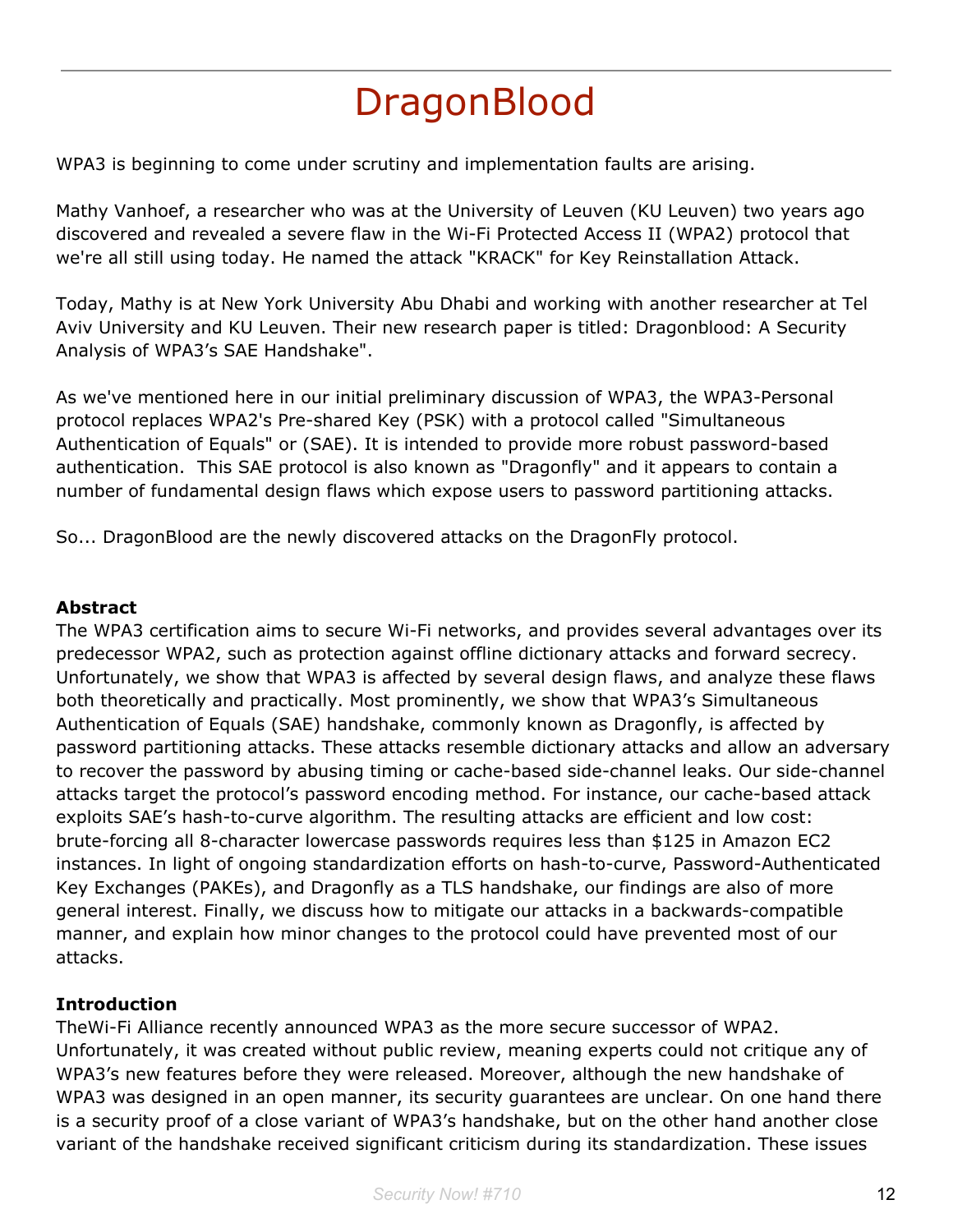# **DragonBlood**

WPA3 is beginning to come under scrutiny and implementation faults are arising.

Mathy Vanhoef, a researcher who was at the University of Leuven (KU Leuven) two years ago discovered and revealed a severe flaw in the Wi-Fi Protected Access II (WPA2) protocol that we're all still using today. He named the attack "KRACK" for Key Reinstallation Attack.

Today, Mathy is at New York University Abu Dhabi and working with another researcher at Tel Aviv University and KU Leuven. Their new research paper is titled: Dragonblood: A Security Analysis of WPA3's SAE Handshake".

As we've mentioned here in our initial preliminary discussion of WPA3, the WPA3-Personal protocol replaces WPA2's Pre-shared Key (PSK) with a protocol called "Simultaneous Authentication of Equals" or (SAE). It is intended to provide more robust password-based authentication. This SAE protocol is also known as "Dragonfly" and it appears to contain a number of fundamental design flaws which expose users to password partitioning attacks.

So... DragonBlood are the newly discovered attacks on the DragonFly protocol.

## **Abstract**

The WPA3 certification aims to secure Wi-Fi networks, and provides several advantages over its predecessor WPA2, such as protection against offline dictionary attacks and forward secrecy. Unfortunately, we show that WPA3 is affected by several design flaws, and analyze these flaws both theoretically and practically. Most prominently, we show that WPA3's Simultaneous Authentication of Equals (SAE) handshake, commonly known as Dragonfly, is affected by password partitioning attacks. These attacks resemble dictionary attacks and allow an adversary to recover the password by abusing timing or cache-based side-channel leaks. Our side-channel attacks target the protocol's password encoding method. For instance, our cache-based attack exploits SAE's hash-to-curve algorithm. The resulting attacks are efficient and low cost: brute-forcing all 8-character lowercase passwords requires less than \$125 in Amazon EC2 instances. In light of ongoing standardization efforts on hash-to-curve, Password-Authenticated Key Exchanges (PAKEs), and Dragonfly as a TLS handshake, our findings are also of more general interest. Finally, we discuss how to mitigate our attacks in a backwards-compatible manner, and explain how minor changes to the protocol could have prevented most of our attacks.

## **Introduction**

TheWi-Fi Alliance recently announced WPA3 as the more secure successor of WPA2. Unfortunately, it was created without public review, meaning experts could not critique any of WPA3's new features before they were released. Moreover, although the new handshake of WPA3 was designed in an open manner, its security guarantees are unclear. On one hand there is a security proof of a close variant of WPA3's handshake, but on the other hand another close variant of the handshake received significant criticism during its standardization. These issues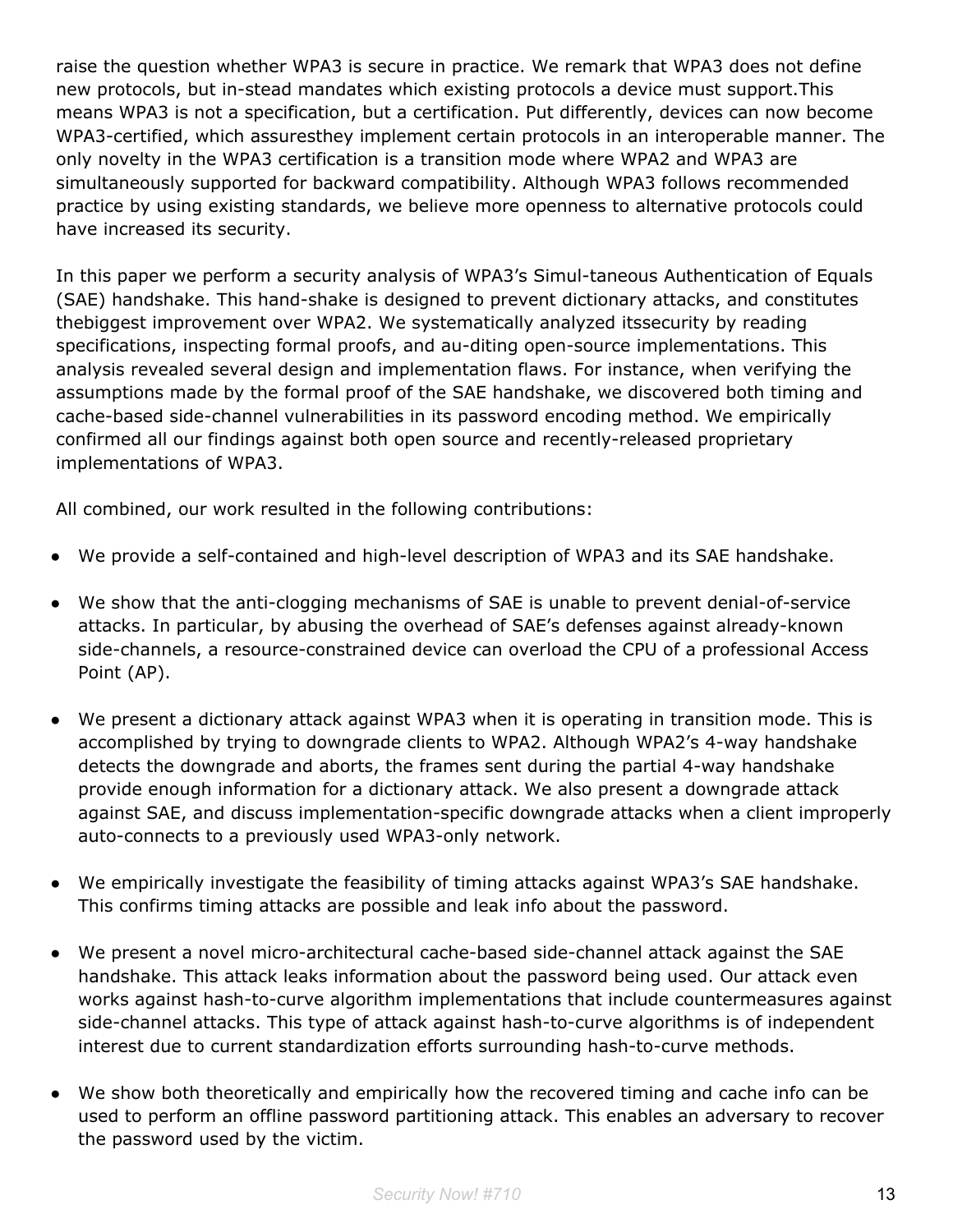raise the question whether WPA3 is secure in practice. We remark that WPA3 does not define new protocols, but in-stead mandates which existing protocols a device must support.This means WPA3 is not a specification, but a certification. Put differently, devices can now become WPA3-certified, which assuresthey implement certain protocols in an interoperable manner. The only novelty in the WPA3 certification is a transition mode where WPA2 and WPA3 are simultaneously supported for backward compatibility. Although WPA3 follows recommended practice by using existing standards, we believe more openness to alternative protocols could have increased its security.

In this paper we perform a security analysis of WPA3's Simul-taneous Authentication of Equals (SAE) handshake. This hand-shake is designed to prevent dictionary attacks, and constitutes thebiggest improvement over WPA2. We systematically analyzed itssecurity by reading specifications, inspecting formal proofs, and au-diting open-source implementations. This analysis revealed several design and implementation flaws. For instance, when verifying the assumptions made by the formal proof of the SAE handshake, we discovered both timing and cache-based side-channel vulnerabilities in its password encoding method. We empirically confirmed all our findings against both open source and recently-released proprietary implementations of WPA3.

All combined, our work resulted in the following contributions:

- We provide a self-contained and high-level description of WPA3 and its SAE handshake.
- We show that the anti-clogging mechanisms of SAE is unable to prevent denial-of-service attacks. In particular, by abusing the overhead of SAE's defenses against already-known side-channels, a resource-constrained device can overload the CPU of a professional Access Point (AP).
- We present a dictionary attack against WPA3 when it is operating in transition mode. This is accomplished by trying to downgrade clients to WPA2. Although WPA2's 4-way handshake detects the downgrade and aborts, the frames sent during the partial 4-way handshake provide enough information for a dictionary attack. We also present a downgrade attack against SAE, and discuss implementation-specific downgrade attacks when a client improperly auto-connects to a previously used WPA3-only network.
- We empirically investigate the feasibility of timing attacks against WPA3's SAE handshake. This confirms timing attacks are possible and leak info about the password.
- We present a novel micro-architectural cache-based side-channel attack against the SAE handshake. This attack leaks information about the password being used. Our attack even works against hash-to-curve algorithm implementations that include countermeasures against side-channel attacks. This type of attack against hash-to-curve algorithms is of independent interest due to current standardization efforts surrounding hash-to-curve methods.
- We show both theoretically and empirically how the recovered timing and cache info can be used to perform an offline password partitioning attack. This enables an adversary to recover the password used by the victim.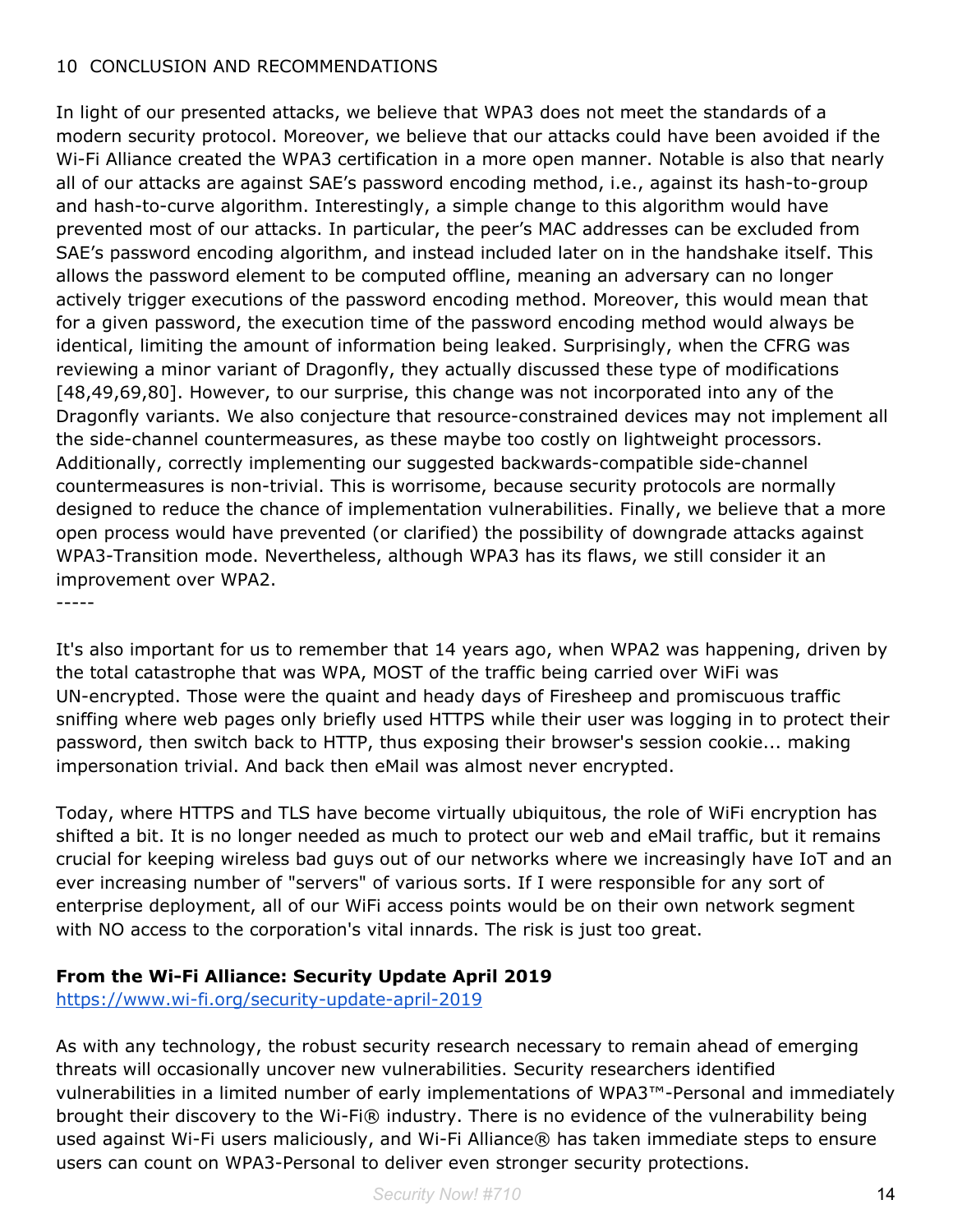#### 10 CONCLUSION AND RECOMMENDATIONS

In light of our presented attacks, we believe that WPA3 does not meet the standards of a modern security protocol. Moreover, we believe that our attacks could have been avoided if the Wi-Fi Alliance created the WPA3 certification in a more open manner. Notable is also that nearly all of our attacks are against SAE's password encoding method, i.e., against its hash-to-group and hash-to-curve algorithm. Interestingly, a simple change to this algorithm would have prevented most of our attacks. In particular, the peer's MAC addresses can be excluded from SAE's password encoding algorithm, and instead included later on in the handshake itself. This allows the password element to be computed offline, meaning an adversary can no longer actively trigger executions of the password encoding method. Moreover, this would mean that for a given password, the execution time of the password encoding method would always be identical, limiting the amount of information being leaked. Surprisingly, when the CFRG was reviewing a minor variant of Dragonfly, they actually discussed these type of modifications [48,49,69,80]. However, to our surprise, this change was not incorporated into any of the Dragonfly variants. We also conjecture that resource-constrained devices may not implement all the side-channel countermeasures, as these maybe too costly on lightweight processors. Additionally, correctly implementing our suggested backwards-compatible side-channel countermeasures is non-trivial. This is worrisome, because security protocols are normally designed to reduce the chance of implementation vulnerabilities. Finally, we believe that a more open process would have prevented (or clarified) the possibility of downgrade attacks against WPA3-Transition mode. Nevertheless, although WPA3 has its flaws, we still consider it an improvement over WPA2.

-----

It's also important for us to remember that 14 years ago, when WPA2 was happening, driven by the total catastrophe that was WPA, MOST of the traffic being carried over WiFi was UN-encrypted. Those were the quaint and heady days of Firesheep and promiscuous traffic sniffing where web pages only briefly used HTTPS while their user was logging in to protect their password, then switch back to HTTP, thus exposing their browser's session cookie... making impersonation trivial. And back then eMail was almost never encrypted.

Today, where HTTPS and TLS have become virtually ubiquitous, the role of WiFi encryption has shifted a bit. It is no longer needed as much to protect our web and eMail traffic, but it remains crucial for keeping wireless bad guys out of our networks where we increasingly have IoT and an ever increasing number of "servers" of various sorts. If I were responsible for any sort of enterprise deployment, all of our WiFi access points would be on their own network segment with NO access to the corporation's vital innards. The risk is just too great.

## **From the Wi-Fi Alliance: Security Update April 2019**

<https://www.wi-fi.org/security-update-april-2019>

As with any technology, the robust security research necessary to remain ahead of emerging threats will occasionally uncover new vulnerabilities. Security researchers identified vulnerabilities in a limited number of early implementations of WPA3™-Personal and immediately brought their discovery to the Wi-Fi® industry. There is no evidence of the vulnerability being used against Wi-Fi users maliciously, and Wi-Fi Alliance® has taken immediate steps to ensure users can count on WPA3-Personal to deliver even stronger security protections.